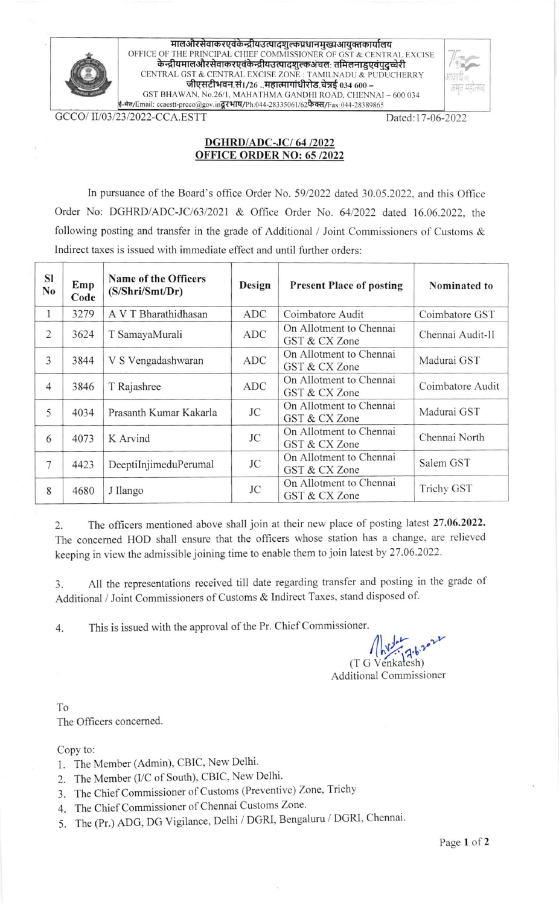

मालऔरसेवाकरएवंकेन्द्रीयउत्पादशुल्कप्रधानमुख्यआयुक्तकार्यालय OFFICE OF THE PRINCIPAL CHIEF COMMISSIONER OF GST & CENTRAL EXCISE केन्द्रीयमालऔरसेवाकरएवंकेन्द्रीयउत्पादशुल्कअंचलः तमिलनाडुएवंपुदच्चेरी CENTRAL GST & CENTRAL EXCISE ZONE : TAMILNADU & PUDUCHERRY जीएसटीभवन,सं1/26 .,महात्मागांधीरोड,चेन्नई 034 600 – GST BHAWAN, No.26/1, MAHATHMA GANDHI ROAD, CHENNAI - 600 034 ई-मेल/Email: ccaestt-prcco@gov.in**दूरभाष/**Ph:044-28335061/62फैक्स/Fax:044-28389865

GCCO/ II/03/23/2022-CCA.ESTT

## Dated:17-06-2022

## **DGHRD/ADC-JC/64/2022 OFFICE ORDER NO: 65 /2022**

In pursuance of the Board's office Order No. 59/2022 dated 30.05.2022, and this Office Order No: DGHRD/ADC-JC/63/2021 & Office Order No. 64/2022 dated 16.06.2022, the following posting and transfer in the grade of Additional / Joint Commissioners of Customs & Indirect taxes is issued with immediate effect and until further orders:

| <b>SI</b><br>N <sub>0</sub> | Emp<br>Code | Name of the Officers<br>(S/Shri/Smt/Dr) | Design     | <b>Present Place of posting</b>          | Nominated to     |
|-----------------------------|-------------|-----------------------------------------|------------|------------------------------------------|------------------|
| 1                           | 3279        | A V T Bharathidhasan                    | ADC        | Coimbatore Audit                         | Coimbatore GST   |
| 2                           | 3624        | T SamayaMurali                          | <b>ADC</b> | On Allotment to Chennai<br>GST & CX Zone | Chennai Audit-II |
| 3                           | 3844        | V S Vengadashwaran                      | <b>ADC</b> | On Allotment to Chennai<br>GST & CX Zone | Madurai GST      |
| 4                           | 3846        | T Rajashree                             | <b>ADC</b> | On Allotment to Chennai<br>GST & CX Zone | Coimbatore Audit |
| 5                           | 4034        | Prasanth Kumar Kakarla                  | JC         | On Allotment to Chennai<br>GST & CX Zone | Madurai GST      |
| 6                           | 4073        | K Arvind                                | <b>JC</b>  | On Allotment to Chennai<br>GST & CX Zone | Chennai North    |
| 7                           | 4423        | DeeptiInjimeduPerumal                   | <b>JC</b>  | On Allotment to Chennai<br>GST & CX Zone | Salem GST        |
| 8                           | 4680        | J Ilango                                | <b>JC</b>  | On Allotment to Chennai<br>GST & CX Zone | Trichy GST       |

The officers mentioned above shall join at their new place of posting latest 27.06.2022. 2. The concerned HOD shall ensure that the officers whose station has a change, are relieved keeping in view the admissible joining time to enable them to join latest by 27.06.2022.

All the representations received till date regarding transfer and posting in the grade of  $3.$ Additional / Joint Commissioners of Customs & Indirect Taxes, stand disposed of.

This is issued with the approval of the Pr. Chief Commissioner.  $4.$ 

nkatesh) **Additional Commissioner** 

To The Officers concerned.

Copy to:

- 1. The Member (Admin), CBIC, New Delhi.
- 2. The Member (I/C of South), CBIC, New Delhi.
- 3. The Chief Commissioner of Customs (Preventive) Zone, Trichy
- 4. The Chief Commissioner of Chennai Customs Zone.
- 5. The (Pr.) ADG, DG Vigilance, Delhi / DGRI, Bengaluru / DGRI, Chennai.